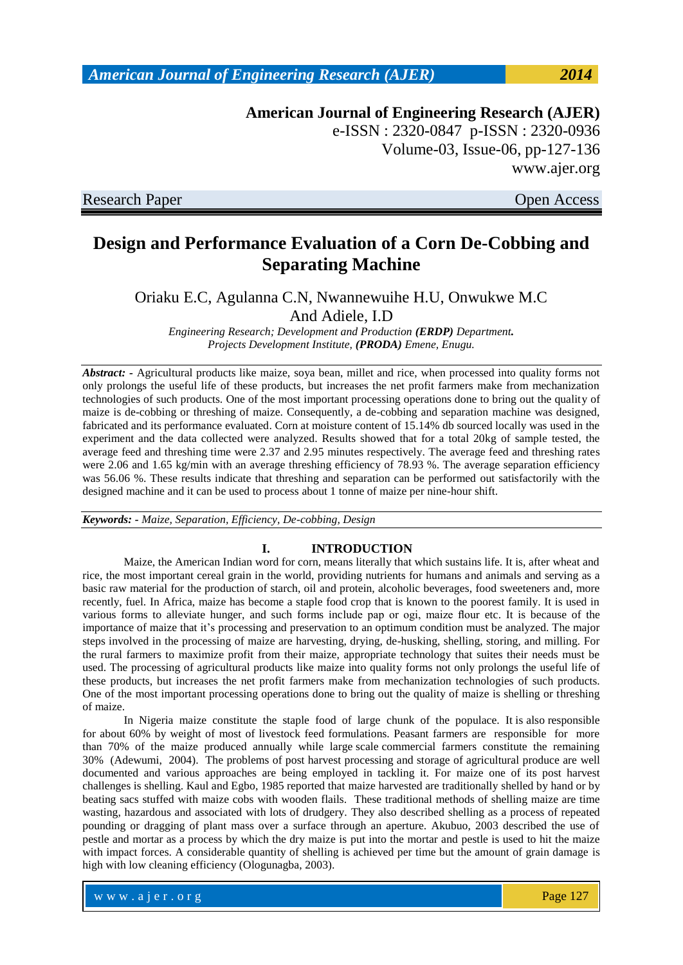### w w w . a j e r . o r g Page 127

*American Journal of Engineering Research (AJER) 2014*

**American Journal of Engineering Research (AJER)** e-ISSN : 2320-0847 p-ISSN : 2320-0936 Volume-03, Issue-06, pp-127-136 www.ajer.org

Research Paper **Open Access** 

# **Design and Performance Evaluation of a Corn De-Cobbing and Separating Machine**

Oriaku E.C, Agulanna C.N, Nwannewuihe H.U, Onwukwe M.C And Adiele, I.D

*Engineering Research; Development and Production (ERDP) Department. Projects Development Institute, (PRODA) Emene, Enugu.*

*Abstract: -* Agricultural products like maize, soya bean, millet and rice, when processed into quality forms not only prolongs the useful life of these products, but increases the net profit farmers make from mechanization technologies of such products. One of the most important processing operations done to bring out the quality of maize is de-cobbing or threshing of maize. Consequently, a de-cobbing and separation machine was designed, fabricated and its performance evaluated. Corn at moisture content of 15.14% db sourced locally was used in the experiment and the data collected were analyzed. Results showed that for a total 20kg of sample tested, the average feed and threshing time were 2.37 and 2.95 minutes respectively. The average feed and threshing rates were 2.06 and 1.65 kg/min with an average threshing efficiency of 78.93 %. The average separation efficiency was 56.06 %. These results indicate that threshing and separation can be performed out satisfactorily with the designed machine and it can be used to process about 1 tonne of maize per nine-hour shift.

*Keywords: - Maize, Separation, Efficiency, De-cobbing, Design*

### **I. INTRODUCTION**

Maize, the American Indian word for corn, means literally that which sustains life. It is, after wheat and rice, the most important cereal grain in the world, providing nutrients for humans and animals and serving as a basic raw material for the production of starch, oil and protein, alcoholic beverages, food sweeteners and, more recently, fuel. In Africa, maize has become a staple food crop that is known to the poorest family. It is used in various forms to alleviate hunger, and such forms include pap or ogi, maize flour etc. It is because of the importance of maize that it's processing and preservation to an optimum condition must be analyzed. The major steps involved in the processing of maize are harvesting, drying, de-husking, shelling, storing, and milling. For the rural farmers to maximize profit from their maize, appropriate technology that suites their needs must be used. The processing of agricultural products like maize into quality forms not only prolongs the useful life of these products, but increases the net profit farmers make from mechanization technologies of such products. One of the most important processing operations done to bring out the quality of maize is shelling or threshing of maize.

In Nigeria maize constitute the staple food of large chunk of the populace. It is also responsible for about 60% by weight of most of livestock feed formulations. Peasant farmers are responsible for more than 70% of the maize produced annually while large scale commercial farmers constitute the remaining 30% (Adewumi, 2004). The problems of post harvest processing and storage of agricultural produce are well documented and various approaches are being employed in tackling it. For maize one of its post harvest challenges is shelling. Kaul and Egbo, 1985 reported that maize harvested are traditionally shelled by hand or by beating sacs stuffed with maize cobs with wooden flails. These traditional methods of shelling maize are time wasting, hazardous and associated with lots of drudgery. They also described shelling as a process of repeated pounding or dragging of plant mass over a surface through an aperture. Akubuo, 2003 described the use of pestle and mortar as a process by which the dry maize is put into the mortar and pestle is used to hit the maize with impact forces. A considerable quantity of shelling is achieved per time but the amount of grain damage is high with low cleaning efficiency (Ologunagba, 2003).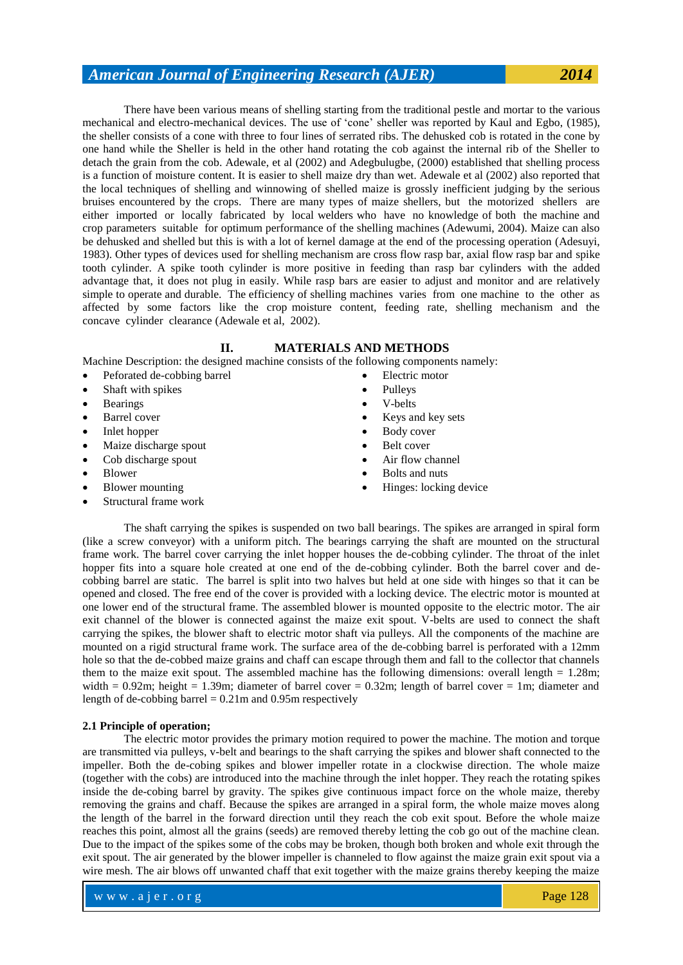There have been various means of shelling starting from the traditional pestle and mortar to the various mechanical and electro-mechanical devices. The use of 'cone' sheller was reported by Kaul and Egbo, (1985), the sheller consists of a cone with three to four lines of serrated ribs. The dehusked cob is rotated in the cone by one hand while the Sheller is held in the other hand rotating the cob against the internal rib of the Sheller to detach the grain from the cob. Adewale, et al (2002) and Adegbulugbe, (2000) established that shelling process is a function of moisture content. It is easier to shell maize dry than wet. Adewale et al (2002) also reported that the local techniques of shelling and winnowing of shelled maize is grossly inefficient judging by the serious bruises encountered by the crops. There are many types of maize shellers, but the motorized shellers are either imported or locally fabricated by local welders who have no knowledge of both the machine and crop parameters suitable for optimum performance of the shelling machines (Adewumi, 2004). Maize can also be dehusked and shelled but this is with a lot of kernel damage at the end of the processing operation (Adesuyi, 1983). Other types of devices used for shelling mechanism are cross flow rasp bar, axial flow rasp bar and spike tooth cylinder. A spike tooth cylinder is more positive in feeding than rasp bar cylinders with the added advantage that, it does not plug in easily. While rasp bars are easier to adjust and monitor and are relatively simple to operate and durable. The efficiency of shelling machines varies from one machine to the other as affected by some factors like the crop moisture content, feeding rate, shelling mechanism and the concave cylinder clearance (Adewale et al, 2002).

#### **II. MATERIALS AND METHODS**

Machine Description: the designed machine consists of the following components namely:

- Peforated de-cobbing barrel
- Shaft with spikes
- Bearings
- Barrel cover
- Inlet hopper
- Maize discharge spout
- Cob discharge spout
- Blower
- Blower mounting
- Structural frame work
- Electric motor Pulleys
- V-belts
- Keys and key sets
- Body cover
- Belt cover
- Air flow channel
- Bolts and nuts
- Hinges: locking device

The shaft carrying the spikes is suspended on two ball bearings. The spikes are arranged in spiral form (like a screw conveyor) with a uniform pitch. The bearings carrying the shaft are mounted on the structural frame work. The barrel cover carrying the inlet hopper houses the de-cobbing cylinder. The throat of the inlet hopper fits into a square hole created at one end of the de-cobbing cylinder. Both the barrel cover and decobbing barrel are static. The barrel is split into two halves but held at one side with hinges so that it can be opened and closed. The free end of the cover is provided with a locking device. The electric motor is mounted at one lower end of the structural frame. The assembled blower is mounted opposite to the electric motor. The air exit channel of the blower is connected against the maize exit spout. V-belts are used to connect the shaft carrying the spikes, the blower shaft to electric motor shaft via pulleys. All the components of the machine are mounted on a rigid structural frame work. The surface area of the de-cobbing barrel is perforated with a 12mm hole so that the de-cobbed maize grains and chaff can escape through them and fall to the collector that channels them to the maize exit spout. The assembled machine has the following dimensions: overall length = 1.28m; width =  $0.92$ m; height = 1.39m; diameter of barrel cover =  $0.32$ m; length of barrel cover = 1m; diameter and length of de-cobbing barrel  $= 0.21$ m and 0.95m respectively

### **2.1 Principle of operation;**

The electric motor provides the primary motion required to power the machine. The motion and torque are transmitted via pulleys, v-belt and bearings to the shaft carrying the spikes and blower shaft connected to the impeller. Both the de-cobing spikes and blower impeller rotate in a clockwise direction. The whole maize (together with the cobs) are introduced into the machine through the inlet hopper. They reach the rotating spikes inside the de-cobing barrel by gravity. The spikes give continuous impact force on the whole maize, thereby removing the grains and chaff. Because the spikes are arranged in a spiral form, the whole maize moves along the length of the barrel in the forward direction until they reach the cob exit spout. Before the whole maize reaches this point, almost all the grains (seeds) are removed thereby letting the cob go out of the machine clean. Due to the impact of the spikes some of the cobs may be broken, though both broken and whole exit through the exit spout. The air generated by the blower impeller is channeled to flow against the maize grain exit spout via a wire mesh. The air blows off unwanted chaff that exit together with the maize grains thereby keeping the maize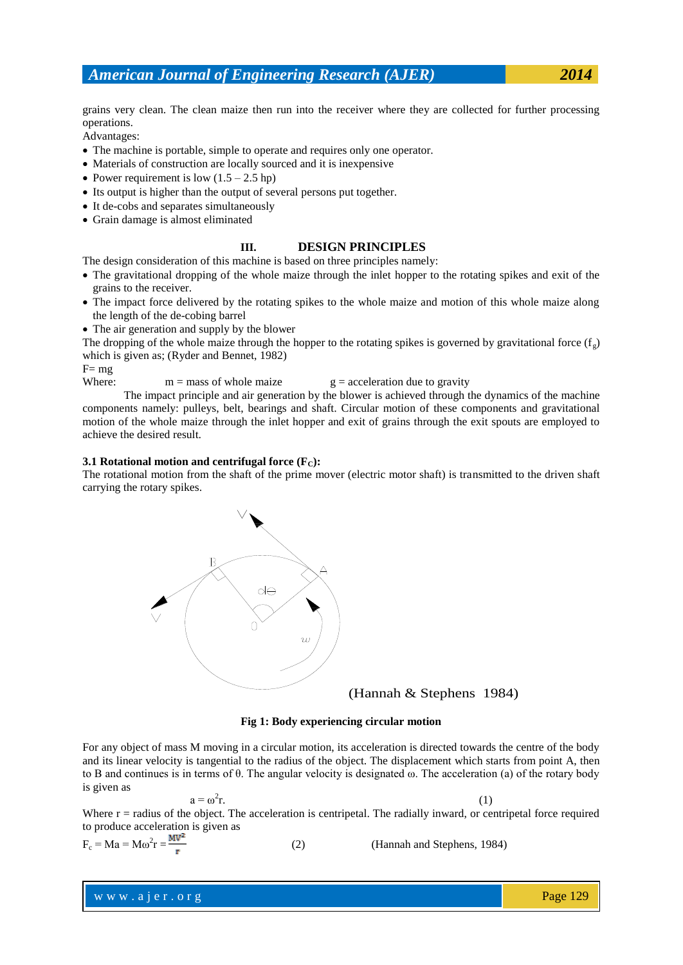grains very clean. The clean maize then run into the receiver where they are collected for further processing operations.

Advantages:

- The machine is portable, simple to operate and requires only one operator.
- Materials of construction are locally sourced and it is inexpensive
- Power requirement is low  $(1.5 2.5 hp)$
- Its output is higher than the output of several persons put together.
- It de-cobs and separates simultaneously
- Grain damage is almost eliminated

#### **III. DESIGN PRINCIPLES**

The design consideration of this machine is based on three principles namely:

- The gravitational dropping of the whole maize through the inlet hopper to the rotating spikes and exit of the grains to the receiver.
- The impact force delivered by the rotating spikes to the whole maize and motion of this whole maize along the length of the de-cobing barrel
- The air generation and supply by the blower

The dropping of the whole maize through the hopper to the rotating spikes is governed by gravitational force  $(f<sub>s</sub>)$ which is given as; (Ryder and Bennet, 1982)

 $F=$  mg

Where:  $m = \text{mass of whole magic}$  g = acceleration due to gravity

The impact principle and air generation by the blower is achieved through the dynamics of the machine components namely: pulleys, belt, bearings and shaft. Circular motion of these components and gravitational motion of the whole maize through the inlet hopper and exit of grains through the exit spouts are employed to achieve the desired result.

#### **3.1 Rotational motion and centrifugal force**  $(F_C)$ **:**

The rotational motion from the shaft of the prime mover (electric motor shaft) is transmitted to the driven shaft carrying the rotary spikes.



(Hannah & Stephens 1984)

#### **Fig 1: Body experiencing circular motion**

For any object of mass M moving in a circular motion, its acceleration is directed towards the centre of the body and its linear velocity is tangential to the radius of the object. The displacement which starts from point A, then to B and continues is in terms of θ. The angular velocity is designated ω. The acceleration (a) of the rotary body is given as

$$
a=\omega^2 r.
$$

r.  $(1)$ 

Where  $r =$  radius of the object. The acceleration is centripetal. The radially inward, or centripetal force required to produce acceleration is given as

$$
F_c = Ma = Mo^2r = \frac{MV^2}{r}
$$
 (2) (Hannah and Stephens, 1984)

www.ajer.org Page 129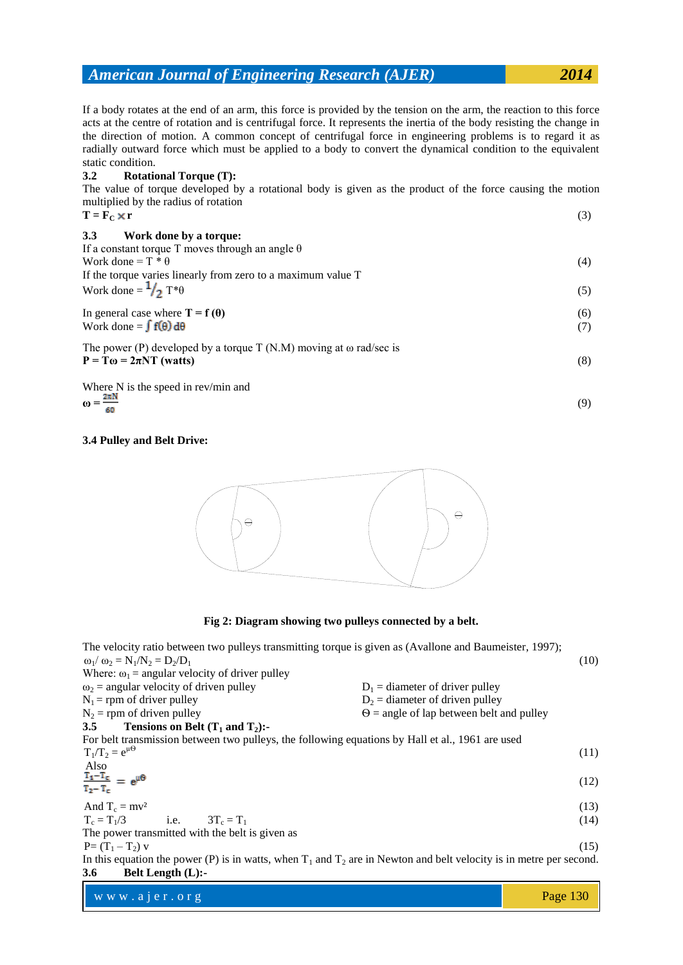If a body rotates at the end of an arm, this force is provided by the tension on the arm, the reaction to this force acts at the centre of rotation and is centrifugal force. It represents the inertia of the body resisting the change in the direction of motion. A common concept of centrifugal force in engineering problems is to regard it as radially outward force which must be applied to a body to convert the dynamical condition to the equivalent static condition.

### **3.2 Rotational Torque (T):**

The value of torque developed by a rotational body is given as the product of the force causing the motion multiplied by the radius of rotation

| mumphed by the radius of rotation                                          |     |
|----------------------------------------------------------------------------|-----|
| $T = F_0 \times r$                                                         | (3) |
| <b>3.3</b><br>Work done by a torque:                                       |     |
| If a constant torque T moves through an angle $\theta$                     |     |
| Work done = $T * \theta$                                                   | (4) |
| If the torque varies linearly from zero to a maximum value T               |     |
| Work done = $\frac{1}{2}$ T* $\theta$                                      | (5) |
| In general case where $T = f(\theta)$                                      | (6) |
| Work done = $\int f(\theta) d\theta$                                       | (7) |
| The power (P) developed by a torque $T(N.M)$ moving at $\omega$ rad/sec is |     |
| $P = T\omega = 2\pi NT$ (watts)                                            | (8) |
| When Michelle cased in accepting and                                       |     |

Where N is the speed in rev/min and  $\frac{2\pi N}{\pi}$ **ω =** (9)

$$
\omega = \frac{1}{\epsilon}
$$

#### **3.4 Pulley and Belt Drive:**



**Fig 2: Diagram showing two pulleys connected by a belt.**

| The velocity ratio between two pulleys transmitting torque is given as (Avallone and Baumeister, 1997);<br>$\omega_1/\omega_2 = N_1/N_2 = D_2/D_1$ | (10)                                            |
|----------------------------------------------------------------------------------------------------------------------------------------------------|-------------------------------------------------|
| Where: $\omega_1$ = angular velocity of driver pulley                                                                                              |                                                 |
| $\omega_2$ = angular velocity of driven pulley                                                                                                     | $D_1$ = diameter of driver pulley               |
| $N_1$ = rpm of driver pulley                                                                                                                       | $D_2$ = diameter of driven pulley               |
| $N_2$ = rpm of driven pulley                                                                                                                       | $\Theta$ = angle of lap between belt and pulley |
| Tensions on Belt $(T_1$ and $T_2)$ :-<br>3.5                                                                                                       |                                                 |
| For belt transmission between two pulleys, the following equations by Hall et al., 1961 are used                                                   |                                                 |
| $T_1/T_2 = e^{\mu \Theta}$                                                                                                                         | (11)                                            |
| Also                                                                                                                                               |                                                 |
| $\frac{T_1-T_c}{T_2-T_c} = e^{\mu \Theta}$                                                                                                         | (12)                                            |
|                                                                                                                                                    |                                                 |
| And $T_c = mv^2$                                                                                                                                   | (13)                                            |
| $T_c = T_1/3$ i.e. $3T_c = T_1$                                                                                                                    | (14)                                            |
| The power transmitted with the belt is given as                                                                                                    |                                                 |
| $P = (T_1 - T_2) v$                                                                                                                                | (15)                                            |
| In this equation the power (P) is in watts, when $T_1$ and $T_2$ are in Newton and belt velocity is in metre per second.                           |                                                 |
| <b>3.6</b><br>Belt Length $(L)$ :-                                                                                                                 |                                                 |
|                                                                                                                                                    |                                                 |

www.ajer.org Page 130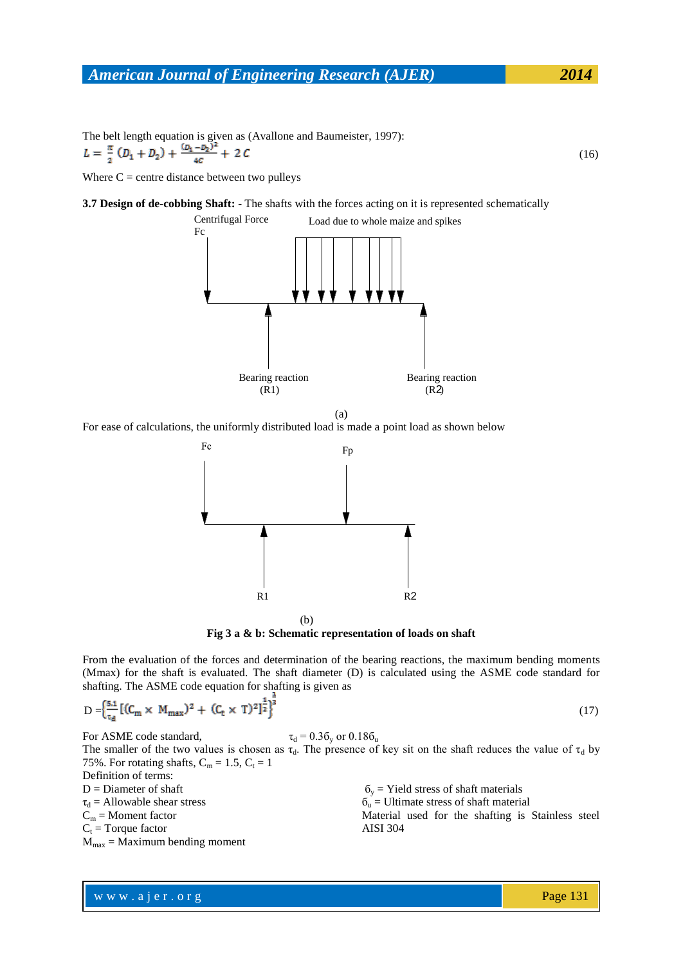(16)

The belt length equation is given as (Avallone and Baumeister, 1997):<br>  $L = \frac{\pi}{2} (D_1 + D_2) + \frac{(D_1 - D_2)^2}{4C} + 2C$ 

Where  $C =$  centre distance between two pulleys

**3.7 Design of de-cobbing Shaft: -** The shafts with the forces acting on it is represented schematically



(a)

For ease of calculations, the uniformly distributed load is made a point load as shown below



**Fig 3 a & b: Schematic representation of loads on shaft**

From the evaluation of the forces and determination of the bearing reactions, the maximum bending moments (Mmax) for the shaft is evaluated. The shaft diameter (D) is calculated using the ASME code standard for shafting. The ASME code equation for shafting is given as

$$
D = \left\{ \frac{5.1}{\tau_d} \left[ (C_m \times M_{max})^2 + (C_t \times T)^2 \right]^{\frac{1}{2}} \right\}^{\frac{1}{3}}
$$
(17)

For ASME code standard,  $\tau_d = 0.36_v$  or  $0.186_u$ The smaller of the two values is chosen as  $\tau_d$ . The presence of key sit on the shaft reduces the value of  $\tau_d$  by 75%. For rotating shafts,  $C_m = 1.5$ ,  $C_t = 1$ Definition of terms: D = Diameter of shaft  $\tau_d$  = Allowable shear stress  $C_m =$ Moment factor  $\delta_y$  = Yield stress of shaft materials  $\delta_u$  = Ultimate stress of shaft material

 $C_t$  = Torque factor

 $M<sub>max</sub> = Maximum bending moment$ 

Material used for the shafting is Stainless steel AISI 304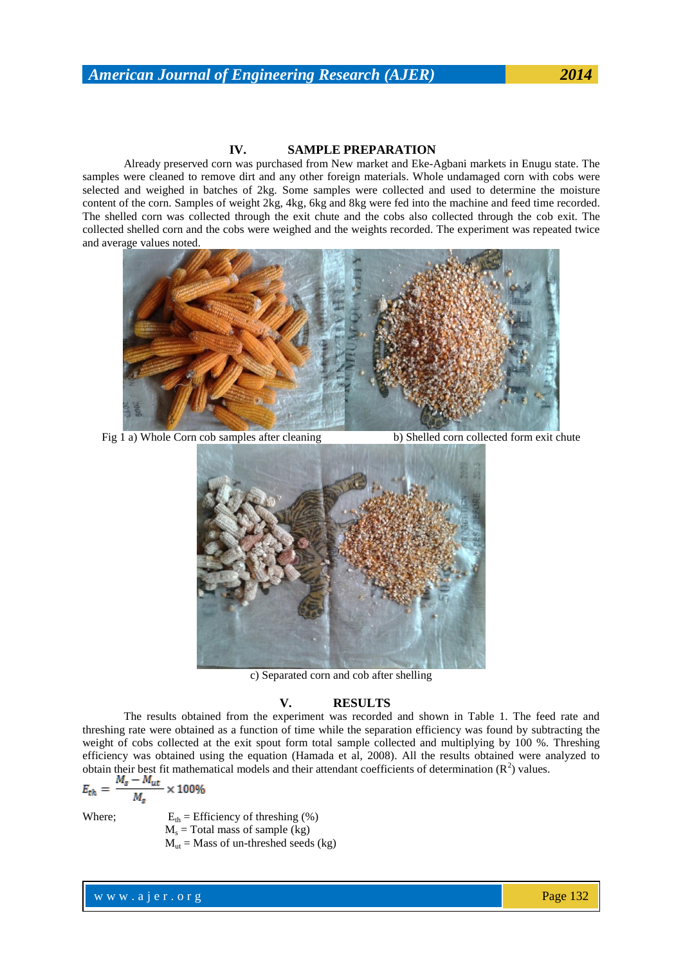Already preserved corn was purchased from New market and Eke-Agbani markets in Enugu state. The samples were cleaned to remove dirt and any other foreign materials. Whole undamaged corn with cobs were selected and weighed in batches of 2kg. Some samples were collected and used to determine the moisture content of the corn. Samples of weight 2kg, 4kg, 6kg and 8kg were fed into the machine and feed time recorded. The shelled corn was collected through the exit chute and the cobs also collected through the cob exit. The collected shelled corn and the cobs were weighed and the weights recorded. The experiment was repeated twice and average values noted.



Fig 1 a) Whole Corn cob samples after cleaning b) Shelled corn collected form exit chute



c) Separated corn and cob after shelling

#### **V. RESULTS**

The results obtained from the experiment was recorded and shown in Table 1. The feed rate and threshing rate were obtained as a function of time while the separation efficiency was found by subtracting the weight of cobs collected at the exit spout form total sample collected and multiplying by 100 %. Threshing efficiency was obtained using the equation (Hamada et al, 2008). All the results obtained were analyzed to obtain their best fit mathematical models and their attendant coefficients of determination  $(R^2)$  values.

$$
E_{th} = \frac{M_s - M_{ut}}{M_s} \times 100\%
$$

Where;  $E_{th} =$  Efficiency of threshing  $%$ )  $M_s$  = Total mass of sample (kg)  $M<sub>ut</sub>$  = Mass of un-threshed seeds (kg)

w w w . a j e r . o r g Page 132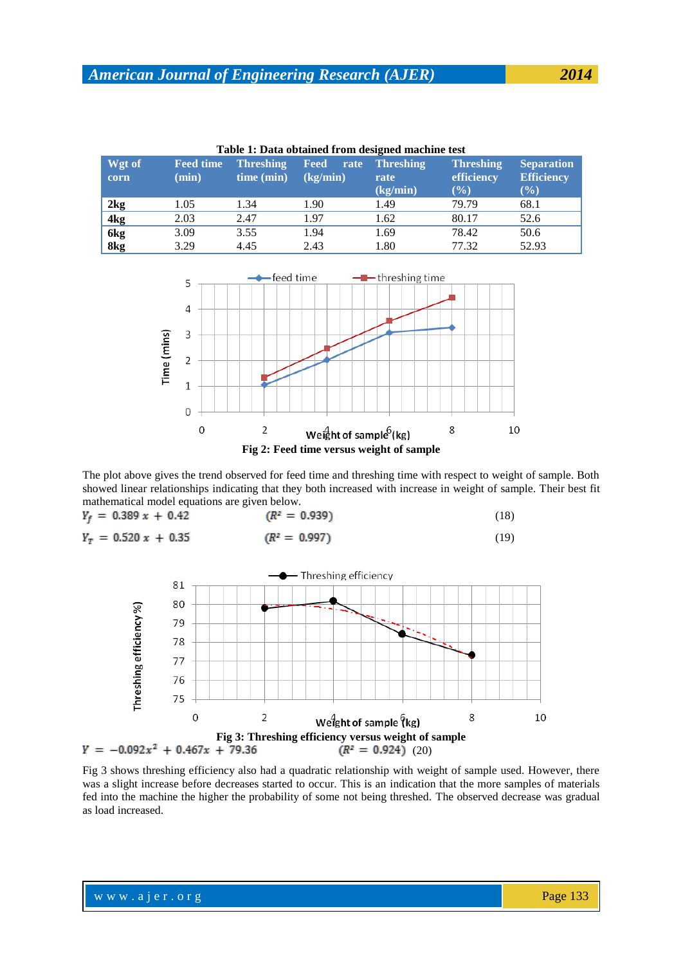| Table 1: Data obtained from designed machine test |                           |                                |                          |                                      |                                          |                                               |  |  |
|---------------------------------------------------|---------------------------|--------------------------------|--------------------------|--------------------------------------|------------------------------------------|-----------------------------------------------|--|--|
| Wgt of<br>corn                                    | <b>Feed time</b><br>(min) | <b>Threshing</b><br>time (min) | Feed<br>rate<br>(kg/min) | <b>Threshing</b><br>rate<br>(kg/min) | <b>Threshing</b><br>efficiency<br>$(\%)$ | <b>Separation</b><br><b>Efficiency</b><br>(%) |  |  |
| 2kg                                               | 1.05                      | 1.34                           | 1.90                     | 1.49                                 | 79.79                                    | 68.1                                          |  |  |
| 4 <sub>kg</sub>                                   | 2.03                      | 2.47                           | 1.97                     | 1.62                                 | 80.17                                    | 52.6                                          |  |  |
| 6kg                                               | 3.09                      | 3.55                           | 1.94                     | 1.69                                 | 78.42                                    | 50.6                                          |  |  |
| 8 <sub>kg</sub>                                   | 3.29                      | 4.45                           | 2.43                     | 1.80                                 | 77.32                                    | 52.93                                         |  |  |



The plot above gives the trend observed for feed time and threshing time with respect to weight of sample. Both showed linear relationships indicating that they both increased with increase in weight of sample. Their best fit mathematical model equations are given below.



Fig 3 shows threshing efficiency also had a quadratic relationship with weight of sample used. However, there was a slight increase before decreases started to occur. This is an indication that the more samples of materials fed into the machine the higher the probability of some not being threshed. The observed decrease was gradual as load increased.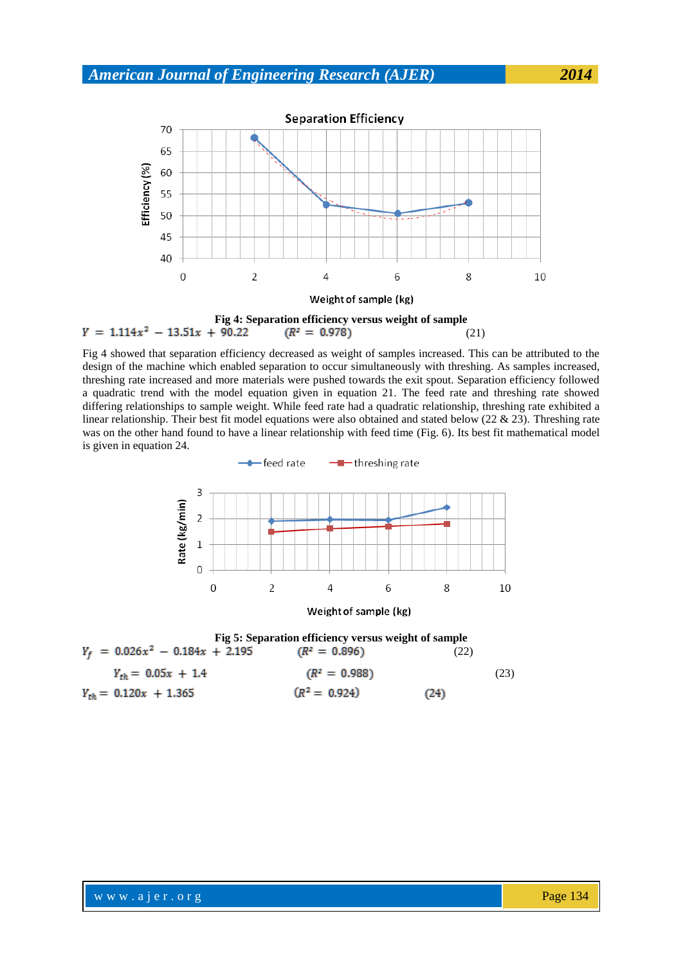

Fig 4 showed that separation efficiency decreased as weight of samples increased. This can be attributed to the design of the machine which enabled separation to occur simultaneously with threshing. As samples increased, threshing rate increased and more materials were pushed towards the exit spout. Separation efficiency followed a quadratic trend with the model equation given in equation 21. The feed rate and threshing rate showed differing relationships to sample weight. While feed rate had a quadratic relationship, threshing rate exhibited a linear relationship. Their best fit model equations were also obtained and stated below (22 & 23). Threshing rate was on the other hand found to have a linear relationship with feed time (Fig. 6). Its best fit mathematical model is given in equation 24.



**Fig 5: Separation efficiency versus weight of sample**<br> $Y_f = 0.026x^2 - 0.184x + 2.195$  ( $R^2 = 0.896$ ) (22) (22)  $Y_{th} = 0.05x + 1.4$  ( $R^2 = 0.988$ ) (23)  $(R^2 = 0.924)$  $Y_{th} = 0.120x + 1.365$  $(24)$ 

www.ajer.org Page 134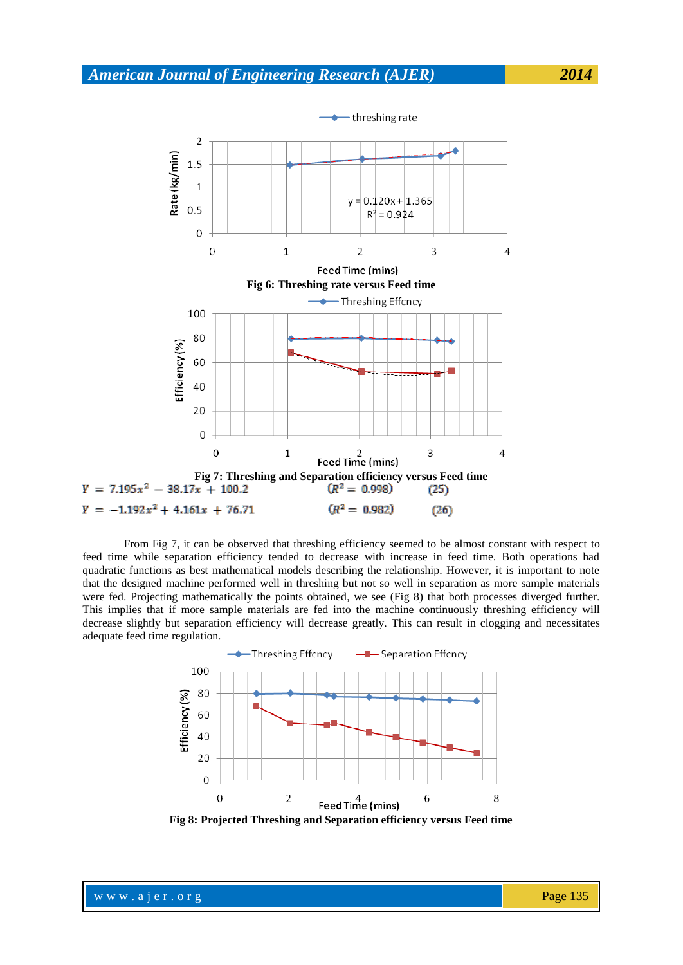

From Fig 7, it can be observed that threshing efficiency seemed to be almost constant with respect to feed time while separation efficiency tended to decrease with increase in feed time. Both operations had quadratic functions as best mathematical models describing the relationship. However, it is important to note that the designed machine performed well in threshing but not so well in separation as more sample materials were fed. Projecting mathematically the points obtained, we see (Fig 8) that both processes diverged further. This implies that if more sample materials are fed into the machine continuously threshing efficiency will decrease slightly but separation efficiency will decrease greatly. This can result in clogging and necessitates adequate feed time regulation.



**Fig 8: Projected Threshing and Separation efficiency versus Feed time**